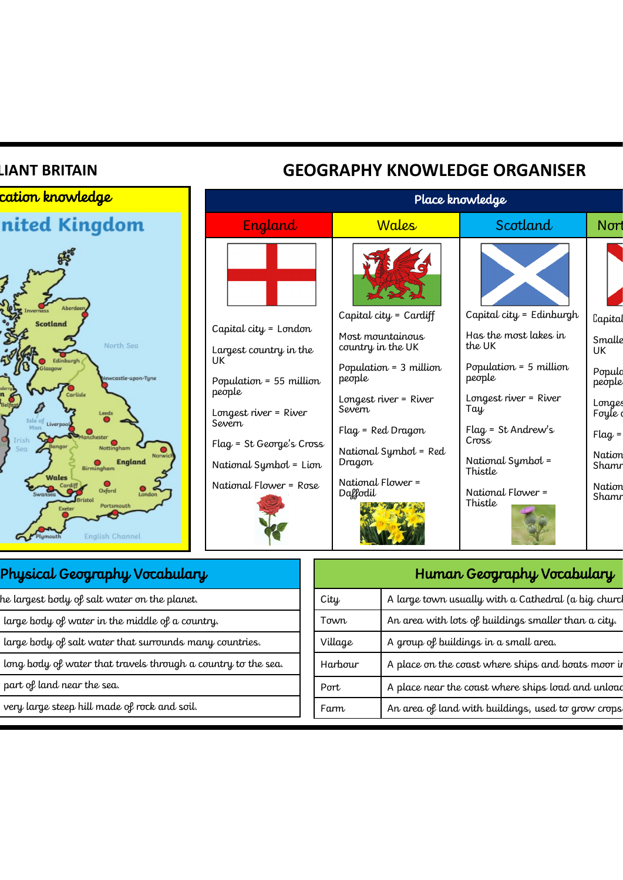## **BRITAIN GEOGRAPHY KNOWLEDGE ORGANISER**

| England<br>Scotland<br><b>Wales</b><br>Aberdeer<br>Capital city = Edinburgh<br>Capital city = $Cardiff$<br><b>Scotland</b><br>Capital city = $L$ ondon<br>Has the most lakes in<br>Most mountainous<br>North Sea<br>the UK<br>country in the UK<br>Largest country in the<br>UK<br>UK<br>Edinburgh<br>Population = 5 million<br>Population = 3 million<br>people<br>people<br>Newcastle-upon-Tyne<br>Population = 55 million<br>people<br>Carlisle<br>Longest river = River<br>Longest river = River<br>Severn<br>Tay<br>Longest river = River<br>Leeds<br>Isle of Liverpool<br>Severn<br>$Flag = St Andrew's$<br>$Flag = Red Dragon$<br>ichester<br>Cross<br>Flag = St George's Cross<br>Bango<br>Nottingham<br>National Symbol = Red<br>Norwich<br>National Symbol =<br>Dragon<br><b>England</b><br>National Symbol = Lion<br>Birmingham<br>Thistle<br>Wales<br>National Flower =<br>National Flower = Rose<br>$\frac{6}{2}$<br>Oxford<br>National Flower =<br>Daffodil | <mark>cation knowledge</mark> |  | Place knowledge |                                                                                                              |
|---------------------------------------------------------------------------------------------------------------------------------------------------------------------------------------------------------------------------------------------------------------------------------------------------------------------------------------------------------------------------------------------------------------------------------------------------------------------------------------------------------------------------------------------------------------------------------------------------------------------------------------------------------------------------------------------------------------------------------------------------------------------------------------------------------------------------------------------------------------------------------------------------------------------------------------------------------------------------|-------------------------------|--|-----------------|--------------------------------------------------------------------------------------------------------------|
|                                                                                                                                                                                                                                                                                                                                                                                                                                                                                                                                                                                                                                                                                                                                                                                                                                                                                                                                                                           | nited Kingdom                 |  |                 | Nord                                                                                                         |
| Exeter<br><b>English Channel</b>                                                                                                                                                                                                                                                                                                                                                                                                                                                                                                                                                                                                                                                                                                                                                                                                                                                                                                                                          | Portsmouth                    |  | Thistle         | Lapital<br>Smalle<br>Populo<br>people<br>Longes<br>Foyle d<br>$Flag =$<br>Nation<br>Shamr<br>Nation<br>Shamr |

| Physical Geography Vocabulary |
|-------------------------------|
|-------------------------------|

- The largest body of salt water on the planet.
- large body of water in the middle of a country.
- large body of salt water that surrounds many countries.
- long body of water that travels through a country to the sea.
- part of land near the sea.
- very large steep hill made of rock and soil.

| A large town usually with a Cathedral (a big churcl<br>City<br>An area with lots of buildings smaller than a city.<br>Town<br>A group of buildings in a small area.<br>Village<br>Harbour<br>A place on the coast where ships and boats moor in<br>A place near the coast where ships load and unload<br>Port<br>An area of land with buildings, used to grow crops<br>Farm | Human Geography Vocabulary |  |  |
|-----------------------------------------------------------------------------------------------------------------------------------------------------------------------------------------------------------------------------------------------------------------------------------------------------------------------------------------------------------------------------|----------------------------|--|--|
|                                                                                                                                                                                                                                                                                                                                                                             |                            |  |  |
|                                                                                                                                                                                                                                                                                                                                                                             |                            |  |  |
|                                                                                                                                                                                                                                                                                                                                                                             |                            |  |  |
|                                                                                                                                                                                                                                                                                                                                                                             |                            |  |  |
|                                                                                                                                                                                                                                                                                                                                                                             |                            |  |  |
|                                                                                                                                                                                                                                                                                                                                                                             |                            |  |  |